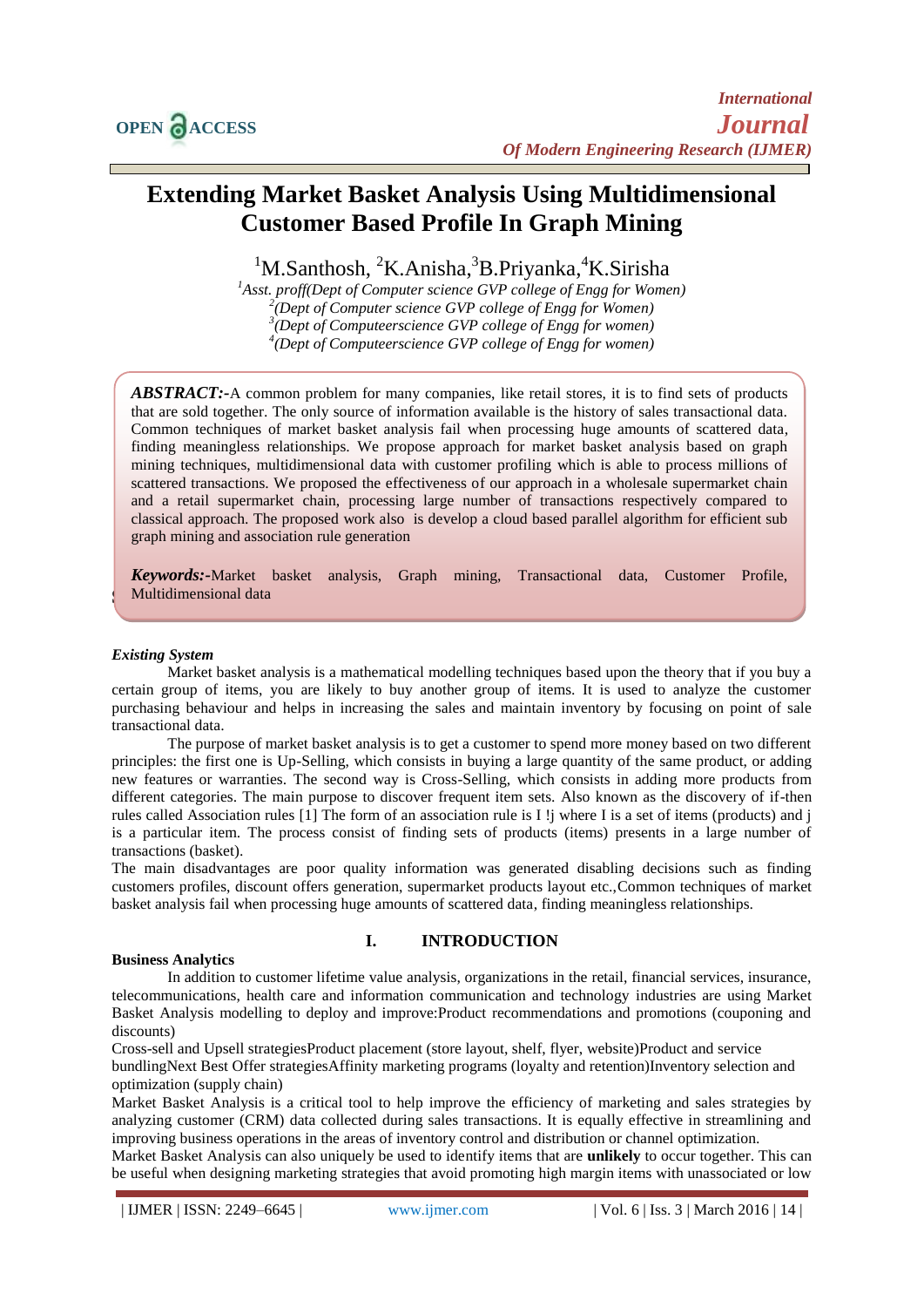# **Extending Market Basket Analysis Using Multidimensional Customer Based Profile In Graph Mining**

<sup>1</sup>M.Santhosh, <sup>2</sup>K.Anisha, <sup>3</sup>B.Priyanka, <sup>4</sup>K.Sirisha

*Asst. proff(Dept of Computer science GVP college of Engg for Women) (Dept of Computer science GVP college of Engg for Women) (Dept of Computeerscience GVP college of Engg for women) (Dept of Computeerscience GVP college of Engg for women)*

*ABSTRACT:-*A common problem for many companies, like retail stores, it is to find sets of products that are sold together. The only source of information available is the history of sales transactional data. Common techniques of market basket analysis fail when processing huge amounts of scattered data, finding meaningless relationships. We propose approach for market basket analysis based on graph mining techniques, multidimensional data with customer profiling which is able to process millions of scattered transactions. We proposed the effectiveness of our approach in a wholesale supermarket chain and a retail supermarket chain, processing large number of transactions respectively compared to classical approach. The proposed work also is develop a cloud based parallel algorithm for efficient sub graph mining and association rule generation

**sss** Multidimensional data*Keywords:-*Market basket analysis, Graph mining, Transactional data, Customer Profile,

## *Existing System*

Market basket analysis is a mathematical modelling techniques based upon the theory that if you buy a certain group of items, you are likely to buy another group of items. It is used to analyze the customer purchasing behaviour and helps in increasing the sales and maintain inventory by focusing on point of sale transactional data.

The purpose of market basket analysis is to get a customer to spend more money based on two different principles: the first one is Up-Selling, which consists in buying a large quantity of the same product, or adding new features or warranties. The second way is Cross-Selling, which consists in adding more products from different categories. The main purpose to discover frequent item sets. Also known as the discovery of if-then rules called Association rules [1] The form of an association rule is I !j where I is a set of items (products) and j is a particular item. The process consist of finding sets of products (items) presents in a large number of transactions (basket).

The main disadvantages are poor quality information was generated disabling decisions such as finding customers profiles, discount offers generation, supermarket products layout etc.,Common techniques of market basket analysis fail when processing huge amounts of scattered data, finding meaningless relationships.

#### **Business Analytics**

# **I. INTRODUCTION**

In addition to customer lifetime value analysis, organizations in the retail, financial services, insurance, telecommunications, health care and information communication and technology industries are using Market Basket Analysis modelling to deploy and improve:Product recommendations and promotions (couponing and discounts)

Cross-sell and Upsell strategiesProduct placement (store layout, shelf, flyer, website)Product and service bundlingNext Best Offer strategiesAffinity marketing programs (loyalty and retention)Inventory selection and optimization (supply chain)

Market Basket Analysis is a critical tool to help improve the efficiency of marketing and sales strategies by analyzing customer (CRM) data collected during sales transactions. It is equally effective in streamlining and improving business operations in the areas of inventory control and distribution or channel optimization.

Market Basket Analysis can also uniquely be used to identify items that are **unlikely** to occur together. This can be useful when designing marketing strategies that avoid promoting high margin items with unassociated or low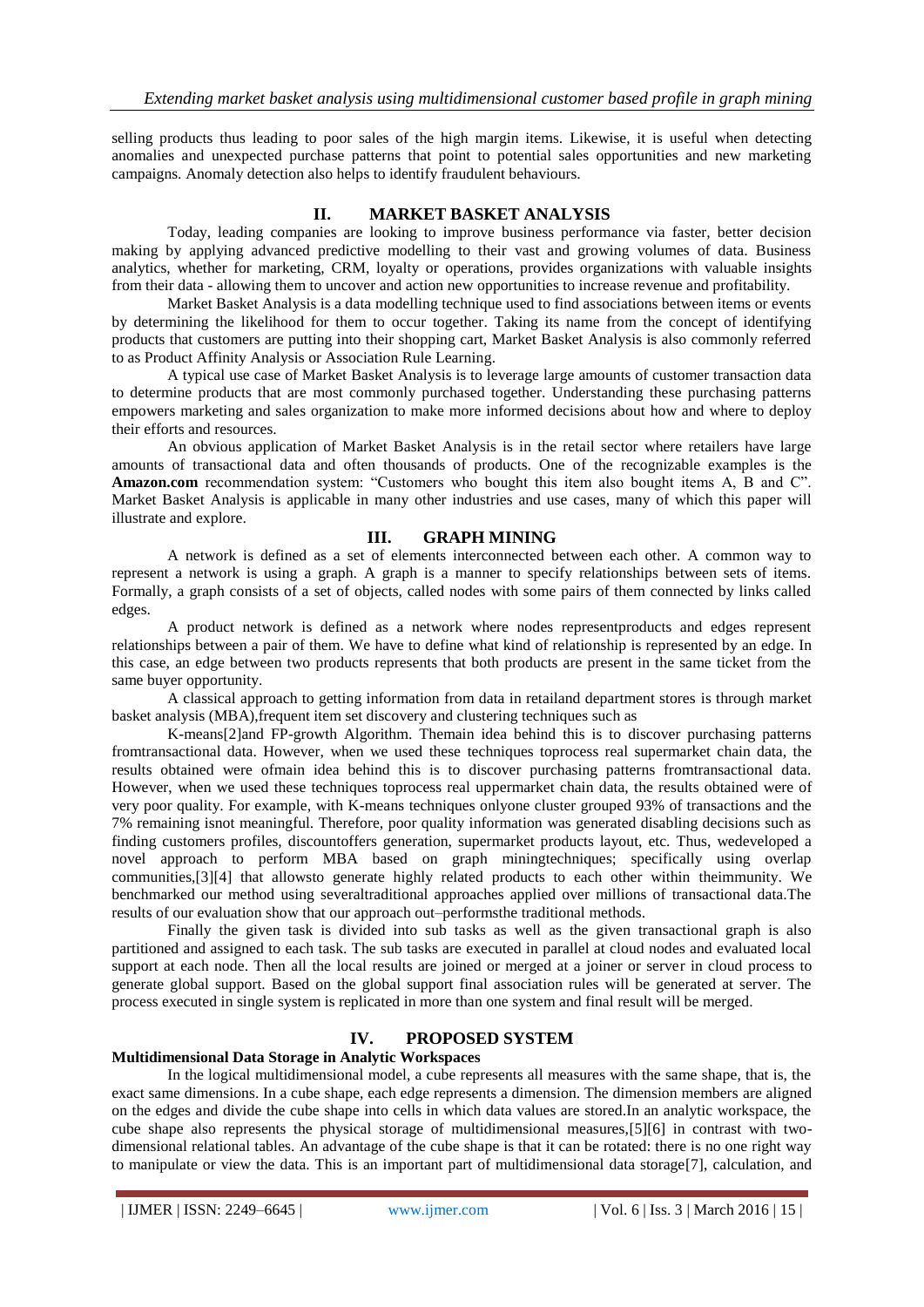selling products thus leading to poor sales of the high margin items. Likewise, it is useful when detecting anomalies and unexpected purchase patterns that point to potential sales opportunities and new marketing campaigns. Anomaly detection also helps to identify fraudulent behaviours.

## **II. MARKET BASKET ANALYSIS**

Today, leading companies are looking to improve business performance via faster, better decision making by applying advanced predictive modelling to their vast and growing volumes of data. Business analytics, whether for marketing, CRM, loyalty or operations, provides organizations with valuable insights from their data - allowing them to uncover and action new opportunities to increase revenue and profitability.

Market Basket Analysis is a data modelling technique used to find associations between items or events by determining the likelihood for them to occur together. Taking its name from the concept of identifying products that customers are putting into their shopping cart, Market Basket Analysis is also commonly referred to as Product Affinity Analysis or Association Rule Learning.

A typical use case of Market Basket Analysis is to leverage large amounts of customer transaction data to determine products that are most commonly purchased together. Understanding these purchasing patterns empowers marketing and sales organization to make more informed decisions about how and where to deploy their efforts and resources.

An obvious application of Market Basket Analysis is in the retail sector where retailers have large amounts of transactional data and often thousands of products. One of the recognizable examples is the **Amazon.com** recommendation system: "Customers who bought this item also bought items A, B and C". Market Basket Analysis is applicable in many other industries and use cases, many of which this paper will illustrate and explore.

# **III. GRAPH MINING**

A network is defined as a set of elements interconnected between each other. A common way to represent a network is using a graph. A graph is a manner to specify relationships between sets of items. Formally, a graph consists of a set of objects, called nodes with some pairs of them connected by links called edges.

A product network is defined as a network where nodes representproducts and edges represent relationships between a pair of them. We have to define what kind of relationship is represented by an edge. In this case, an edge between two products represents that both products are present in the same ticket from the same buyer opportunity.

A classical approach to getting information from data in retailand department stores is through market basket analysis (MBA),frequent item set discovery and clustering techniques such as

K-means[2]and FP-growth Algorithm. Themain idea behind this is to discover purchasing patterns fromtransactional data. However, when we used these techniques toprocess real supermarket chain data, the results obtained were ofmain idea behind this is to discover purchasing patterns fromtransactional data. However, when we used these techniques toprocess real uppermarket chain data, the results obtained were of very poor quality. For example, with K-means techniques onlyone cluster grouped 93% of transactions and the 7% remaining isnot meaningful. Therefore, poor quality information was generated disabling decisions such as finding customers profiles, discountoffers generation, supermarket products layout, etc. Thus, wedeveloped a novel approach to perform MBA based on graph miningtechniques; specifically using overlap communities,[3][4] that allowsto generate highly related products to each other within theimmunity. We benchmarked our method using severaltraditional approaches applied over millions of transactional data.The results of our evaluation show that our approach out–performsthe traditional methods.

Finally the given task is divided into sub tasks as well as the given transactional graph is also partitioned and assigned to each task. The sub tasks are executed in parallel at cloud nodes and evaluated local support at each node. Then all the local results are joined or merged at a joiner or server in cloud process to generate global support. Based on the global support final association rules will be generated at server. The process executed in single system is replicated in more than one system and final result will be merged.

# **IV. PROPOSED SYSTEM**

## **Multidimensional Data Storage in Analytic Workspaces**

In the logical multidimensional model, a cube represents all measures with the same shape, that is, the exact same dimensions. In a cube shape, each edge represents a dimension. The dimension members are aligned on the edges and divide the cube shape into cells in which data values are stored.In an analytic workspace, the cube shape also represents the physical storage of multidimensional measures,[5][6] in contrast with twodimensional relational tables. An advantage of the cube shape is that it can be rotated: there is no one right way to manipulate or view the data. This is an important part of multidimensional data storage[7], calculation, and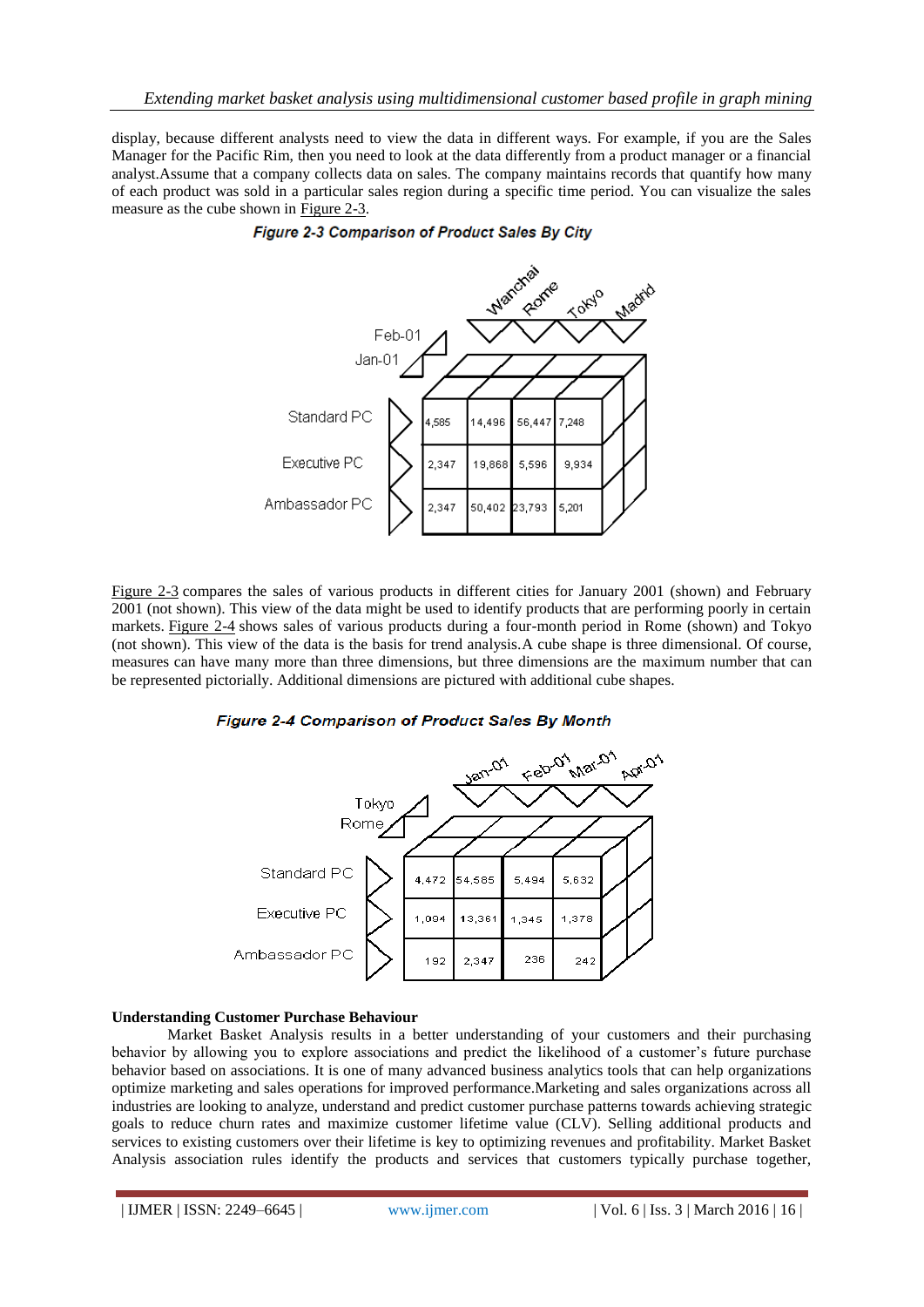display, because different analysts need to view the data in different ways. For example, if you are the Sales Manager for the Pacific Rim, then you need to look at the data differently from a product manager or a financial analyst.Assume that a company collects data on sales. The company maintains records that quantify how many of each product was sold in a particular sales region during a specific time period. You can visualize the sales measure as the cube shown in [Figure 2-3.](https://web.stanford.edu/dept/itss/docs/oracle/10g/olap.101/b10333/multimodel.htm#CHDCCGHA)



#### Figure 2-3 Comparison of Product Sales By City

[Figure 2-3](https://web.stanford.edu/dept/itss/docs/oracle/10g/olap.101/b10333/multimodel.htm#CHDCCGHA) compares the sales of various products in different cities for January 2001 (shown) and February 2001 (not shown). This view of the data might be used to identify products that are performing poorly in certain markets. [Figure 2-4](https://web.stanford.edu/dept/itss/docs/oracle/10g/olap.101/b10333/multimodel.htm#CHDBBJCF) shows sales of various products during a four-month period in Rome (shown) and Tokyo (not shown). This view of the data is the basis for trend analysis.A cube shape is three dimensional. Of course, measures can have many more than three dimensions, but three dimensions are the maximum number that can be represented pictorially. Additional dimensions are pictured with additional cube shapes.





## **Understanding Customer Purchase Behaviour**

Market Basket Analysis results in a better understanding of your customers and their purchasing behavior by allowing you to explore associations and predict the likelihood of a customer's future purchase behavior based on associations. It is one of many advanced business analytics tools that can help organizations optimize marketing and sales operations for improved performance.Marketing and sales organizations across all industries are looking to analyze, understand and predict customer purchase patterns towards achieving strategic goals to reduce churn rates and maximize customer lifetime value (CLV). Selling additional products and services to existing customers over their lifetime is key to optimizing revenues and profitability. Market Basket Analysis association rules identify the products and services that customers typically purchase together,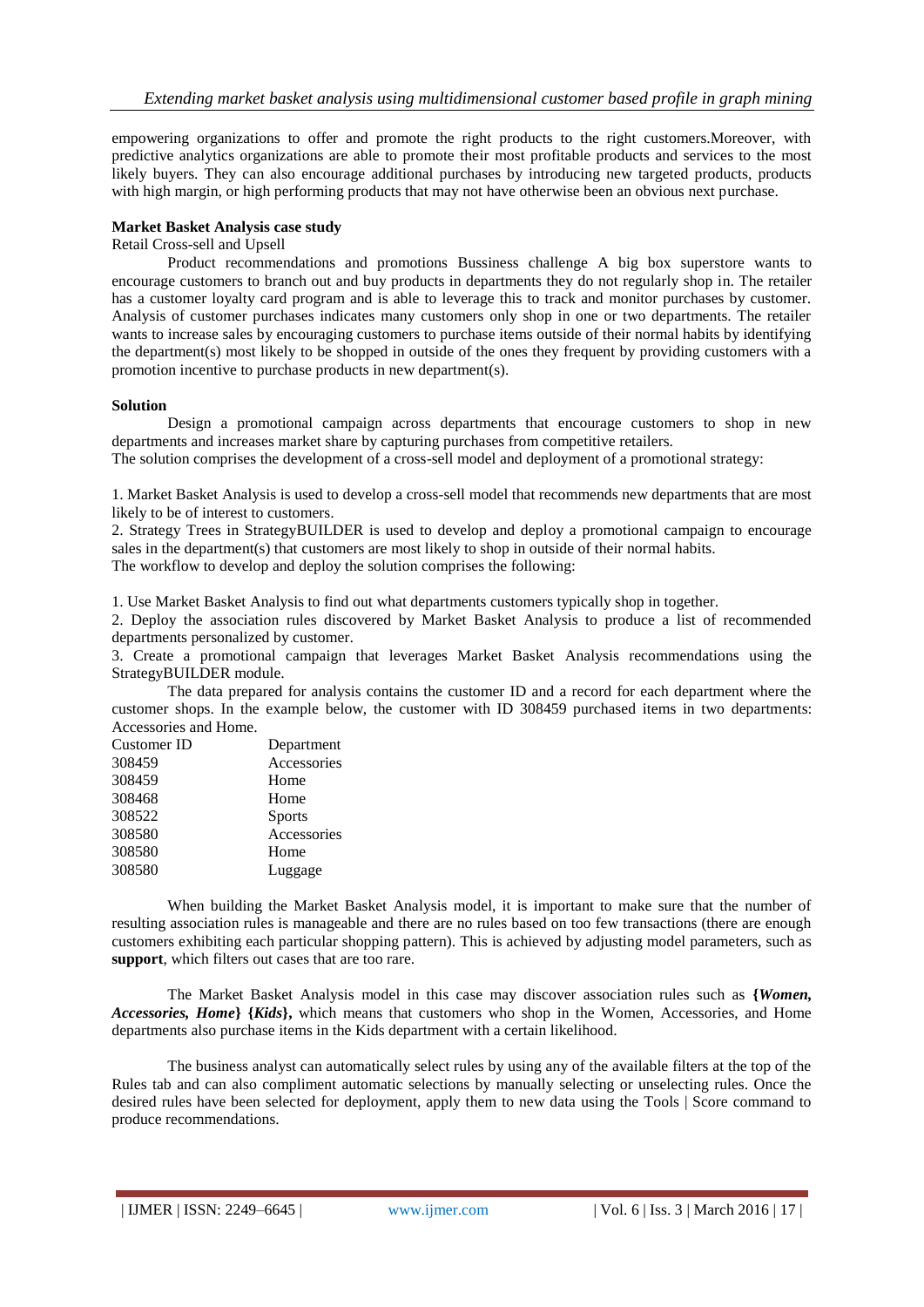empowering organizations to offer and promote the right products to the right customers.Moreover, with predictive analytics organizations are able to promote their most profitable products and services to the most likely buyers. They can also encourage additional purchases by introducing new targeted products, products with high margin, or high performing products that may not have otherwise been an obvious next purchase.

## **Market Basket Analysis case study**

Retail Cross-sell and Upsell

Product recommendations and promotions Bussiness challenge A big box superstore wants to encourage customers to branch out and buy products in departments they do not regularly shop in. The retailer has a customer loyalty card program and is able to leverage this to track and monitor purchases by customer. Analysis of customer purchases indicates many customers only shop in one or two departments. The retailer wants to increase sales by encouraging customers to purchase items outside of their normal habits by identifying the department(s) most likely to be shopped in outside of the ones they frequent by providing customers with a promotion incentive to purchase products in new department(s).

#### **Solution**

Design a promotional campaign across departments that encourage customers to shop in new departments and increases market share by capturing purchases from competitive retailers.

The solution comprises the development of a cross-sell model and deployment of a promotional strategy:

1. Market Basket Analysis is used to develop a cross-sell model that recommends new departments that are most likely to be of interest to customers.

2. Strategy Trees in StrategyBUILDER is used to develop and deploy a promotional campaign to encourage sales in the department(s) that customers are most likely to shop in outside of their normal habits. The workflow to develop and deploy the solution comprises the following:

1. Use Market Basket Analysis to find out what departments customers typically shop in together.

2. Deploy the association rules discovered by Market Basket Analysis to produce a list of recommended departments personalized by customer.

3. Create a promotional campaign that leverages Market Basket Analysis recommendations using the StrategyBUILDER module.

The data prepared for analysis contains the customer ID and a record for each department where the customer shops. In the example below, the customer with ID 308459 purchased items in two departments: Accessories and Home.

| Customer ID | Department    |
|-------------|---------------|
| 308459      | Accessories   |
| 308459      | Home          |
| 308468      | Home          |
| 308522      | <b>Sports</b> |
| 308580      | Accessories   |
| 308580      | Home          |
| 308580      | Luggage       |

When building the Market Basket Analysis model, it is important to make sure that the number of resulting association rules is manageable and there are no rules based on too few transactions (there are enough customers exhibiting each particular shopping pattern). This is achieved by adjusting model parameters, such as **support**, which filters out cases that are too rare.

The Market Basket Analysis model in this case may discover association rules such as **{***Women, Accessories, Home***} {***Kids***},** which means that customers who shop in the Women, Accessories, and Home departments also purchase items in the Kids department with a certain likelihood.

The business analyst can automatically select rules by using any of the available filters at the top of the Rules tab and can also compliment automatic selections by manually selecting or unselecting rules. Once the desired rules have been selected for deployment, apply them to new data using the Tools | Score command to produce recommendations.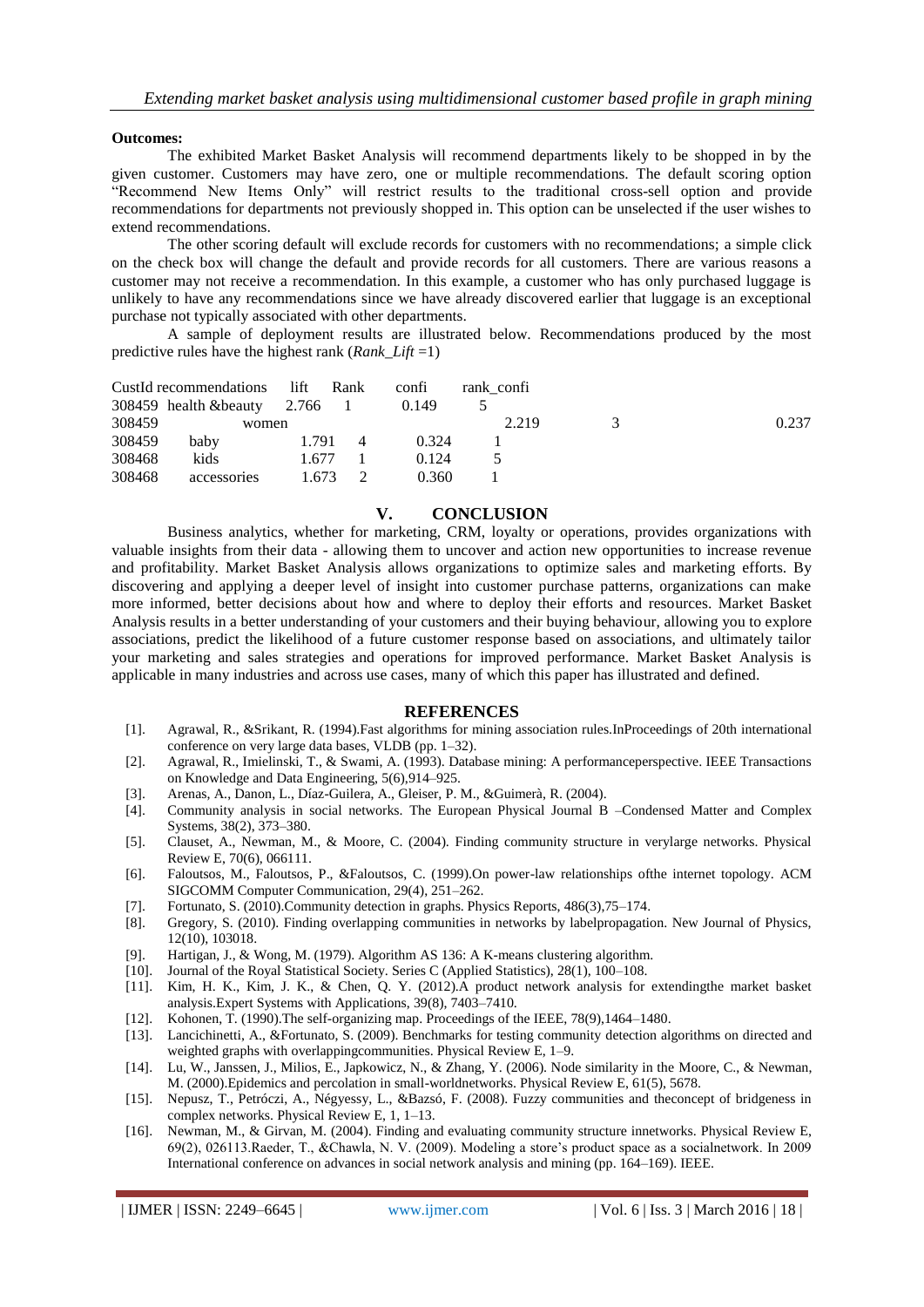#### **Outcomes:**

The exhibited Market Basket Analysis will recommend departments likely to be shopped in by the given customer. Customers may have zero, one or multiple recommendations. The default scoring option "Recommend New Items Only" will restrict results to the traditional cross-sell option and provide recommendations for departments not previously shopped in. This option can be unselected if the user wishes to extend recommendations.

The other scoring default will exclude records for customers with no recommendations; a simple click on the check box will change the default and provide records for all customers. There are various reasons a customer may not receive a recommendation. In this example, a customer who has only purchased luggage is unlikely to have any recommendations since we have already discovered earlier that luggage is an exceptional purchase not typically associated with other departments.

A sample of deployment results are illustrated below. Recommendations produced by the most predictive rules have the highest rank (*Rank\_Lift* =1)

|        | CustId recommendations | lift  | Rank           | confi | rank confi |       |
|--------|------------------------|-------|----------------|-------|------------|-------|
|        | 308459 health & beauty | 2.766 |                | 0.149 |            |       |
| 308459 | women                  |       |                |       | 2.219      | 0.237 |
| 308459 | baby                   | 1.791 | $\overline{4}$ | 0.324 |            |       |
| 308468 | kids                   | 1.677 |                | 0.124 |            |       |
| 308468 | accessories            | 1.673 |                | 0.360 |            |       |

## **V. CONCLUSION**

Business analytics, whether for marketing, CRM, loyalty or operations, provides organizations with valuable insights from their data - allowing them to uncover and action new opportunities to increase revenue and profitability. Market Basket Analysis allows organizations to optimize sales and marketing efforts. By discovering and applying a deeper level of insight into customer purchase patterns, organizations can make more informed, better decisions about how and where to deploy their efforts and resources. Market Basket Analysis results in a better understanding of your customers and their buying behaviour, allowing you to explore associations, predict the likelihood of a future customer response based on associations, and ultimately tailor your marketing and sales strategies and operations for improved performance. Market Basket Analysis is applicable in many industries and across use cases, many of which this paper has illustrated and defined.

#### **REFERENCES**

- [1]. Agrawal, R., &Srikant, R. (1994).Fast algorithms for mining association rules.InProceedings of 20th international conference on very large data bases, VLDB (pp. 1–32).
- [2]. Agrawal, R., Imielinski, T., & Swami, A. (1993). Database mining: A performanceperspective. IEEE Transactions on Knowledge and Data Engineering, 5(6),914–925.
- [3]. Arenas, A., Danon, L., Díaz-Guilera, A., Gleiser, P. M., &Guimerà, R. (2004).
- [4]. Community analysis in social networks. The European Physical Journal B –Condensed Matter and Complex Systems, 38(2), 373–380.
- [5]. Clauset, A., Newman, M., & Moore, C. (2004). Finding community structure in verylarge networks. Physical Review E, 70(6), 066111.
- [6]. Faloutsos, M., Faloutsos, P., &Faloutsos, C. (1999).On power-law relationships ofthe internet topology. ACM SIGCOMM Computer Communication, 29(4), 251–262.
- [7]. Fortunato, S. (2010). Community detection in graphs. Physics Reports, 486(3), 75–174.
- [8]. Gregory, S. (2010). Finding overlapping communities in networks by labelpropagation. New Journal of Physics, 12(10), 103018.
- [9]. Hartigan, J., & Wong, M. (1979). Algorithm AS 136: A K-means clustering algorithm.
- [10]. Journal of the Royal Statistical Society. Series C (Applied Statistics), 28(1), 100–108.
- [11]. Kim, H. K., Kim, J. K., & Chen, Q. Y. (2012).A product network analysis for extendingthe market basket analysis.Expert Systems with Applications, 39(8), 7403–7410.
- [12]. Kohonen, T. (1990).The self-organizing map. Proceedings of the IEEE, 78(9),1464–1480.
- [13]. Lancichinetti, A., &Fortunato, S. (2009). Benchmarks for testing community detection algorithms on directed and weighted graphs with overlappingcommunities. Physical Review E, 1–9.
- [14]. Lu, W., Janssen, J., Milios, E., Japkowicz, N., & Zhang, Y. (2006). Node similarity in the Moore, C., & Newman, M. (2000).Epidemics and percolation in small-worldnetworks. Physical Review E, 61(5), 5678.
- [15]. Nepusz, T., Petróczi, A., Négyessy, L., &Bazsó, F. (2008). Fuzzy communities and theconcept of bridgeness in complex networks. Physical Review E, 1, 1–13.
- [16]. Newman, M., & Girvan, M. (2004). Finding and evaluating community structure innetworks. Physical Review E, 69(2), 026113.Raeder, T., &Chawla, N. V. (2009). Modeling a store's product space as a socialnetwork. In 2009 International conference on advances in social network analysis and mining (pp. 164–169). IEEE.